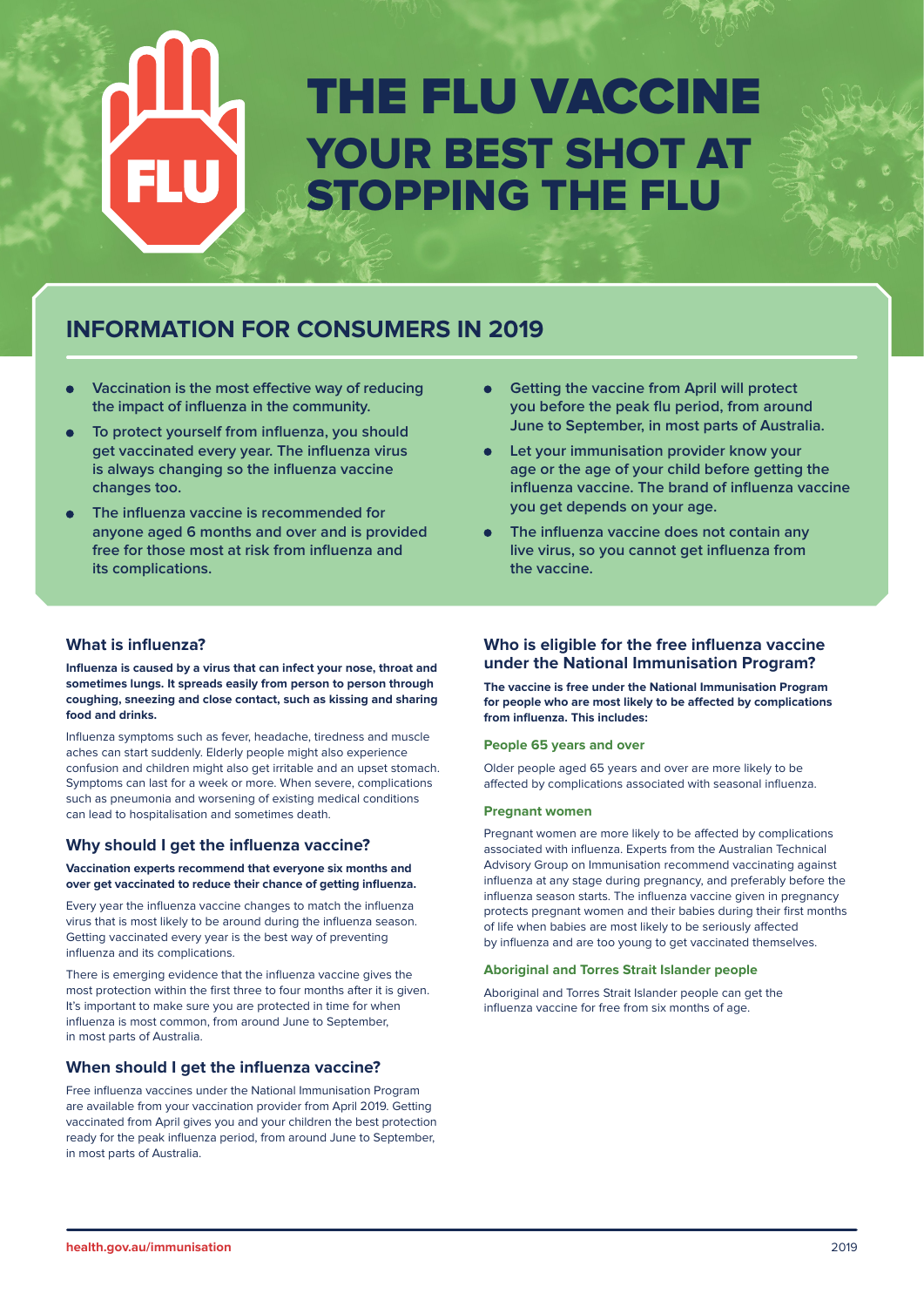# THE FLU VACCINE YOUR BEST SHOT AT STOPPING THE FLU

# **INFORMATION FOR CONSUMERS IN 2019**

- **Vaccination is the most effective way of reducing the impact of influenza in the community.**
- **To protect yourself from influenza, you should get vaccinated every year. The influenza virus is always changing so the influenza vaccine changes too.**
- **The influenza vaccine is recommended for**   $\bullet$ **anyone aged 6 months and over and is provided free for those most at risk from influenza and its complications.**
- **Getting the vaccine from April will protect**   $\bullet$ **you before the peak flu period, from around June to September, in most parts of Australia.**
- **Let your immunisation provider know your age or the age of your child before getting the influenza vaccine. The brand of influenza vaccine you get depends on your age.**
- **The influenza vaccine does not contain any live virus, so you cannot get influenza from the vaccine.**

# **What is influenza?**

**Influenza is caused by a virus that can infect your nose, throat and sometimes lungs. It spreads easily from person to person through coughing, sneezing and close contact, such as kissing and sharing food and drinks.** 

Influenza symptoms such as fever, headache, tiredness and muscle aches can start suddenly. Elderly people might also experience confusion and children might also get irritable and an upset stomach. Symptoms can last for a week or more. When severe, complications such as pneumonia and worsening of existing medical conditions can lead to hospitalisation and sometimes death.

# **Why should I get the influenza vaccine?**

**Vaccination experts recommend that everyone six months and over get vaccinated to reduce their chance of getting influenza.**

Every year the influenza vaccine changes to match the influenza virus that is most likely to be around during the influenza season. Getting vaccinated every year is the best way of preventing influenza and its complications.

There is emerging evidence that the influenza vaccine gives the most protection within the first three to four months after it is given. It's important to make sure you are protected in time for when influenza is most common, from around June to September, in most parts of Australia.

# **When should I get the influenza vaccine?**

Free influenza vaccines under the National Immunisation Program are available from your vaccination provider from April 2019. Getting vaccinated from April gives you and your children the best protection ready for the peak influenza period, from around June to September, in most parts of Australia.

# **Who is eligible for the free influenza vaccine under the National Immunisation Program?**

**The vaccine is free under the National Immunisation Program for people who are most likely to be affected by complications from influenza. This includes:**

#### **People 65 years and over**

Older people aged 65 years and over are more likely to be affected by complications associated with seasonal influenza.

#### **Pregnant women**

Pregnant women are more likely to be affected by complications associated with influenza. Experts from the Australian Technical Advisory Group on Immunisation recommend vaccinating against influenza at any stage during pregnancy, and preferably before the influenza season starts. The influenza vaccine given in pregnancy protects pregnant women and their babies during their first months of life when babies are most likely to be seriously affected by influenza and are too young to get vaccinated themselves.

#### **Aboriginal and Torres Strait Islander people**

Aboriginal and Torres Strait Islander people can get the influenza vaccine for free from six months of age.